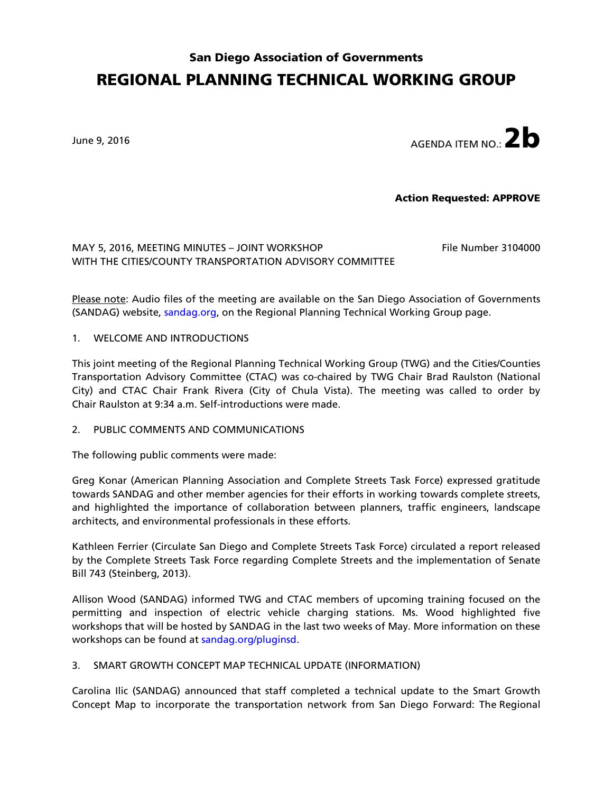# San Diego Association of Governments REGIONAL PLANNING TECHNICAL WORKING GROUP

June 9, 2016  $\overline{a}$ 

Action Requested: APPROVE

MAY 5, 2016, MEETING MINUTES - JOINT WORKSHOP File Number 3104000 WITH THE CITIES/COUNTY TRANSPORTATION ADVISORY COMMITTEE

Please note: Audio files of the meeting are available on the San Diego Association of Governments (SANDAG) website, [sandag.org,](http://www.sandag.org/index.asp?committeeid=57&fuseaction=committees.detail) on the Regional Planning Technical Working Group page.

#### 1. WELCOME AND INTRODUCTIONS

This joint meeting of the Regional Planning Technical Working Group (TWG) and the Cities/Counties Transportation Advisory Committee (CTAC) was co-chaired by TWG Chair Brad Raulston (National City) and CTAC Chair Frank Rivera (City of Chula Vista). The meeting was called to order by Chair Raulston at 9:34 a.m. Self-introductions were made.

2. PUBLIC COMMENTS AND COMMUNICATIONS

The following public comments were made:

Greg Konar (American Planning Association and Complete Streets Task Force) expressed gratitude towards SANDAG and other member agencies for their efforts in working towards complete streets, and highlighted the importance of collaboration between planners, traffic engineers, landscape architects, and environmental professionals in these efforts.

Kathleen Ferrier (Circulate San Diego and Complete Streets Task Force) circulated a report released by the Complete Streets Task Force regarding Complete Streets and the implementation of Senate Bill 743 (Steinberg, 2013).

Allison Wood (SANDAG) informed TWG and CTAC members of upcoming training focused on the permitting and inspection of electric vehicle charging stations. Ms. Wood highlighted five workshops that will be hosted by SANDAG in the last two weeks of May. More information on these workshops can be found at [sandag.org/pluginsd.](http://www.sandag.org/pluginsd)

## 3. SMART GROWTH CONCEPT MAP TECHNICAL UPDATE (INFORMATION)

Carolina Ilic (SANDAG) announced that staff completed a technical update to the Smart Growth Concept Map to incorporate the transportation network from San Diego Forward: The Regional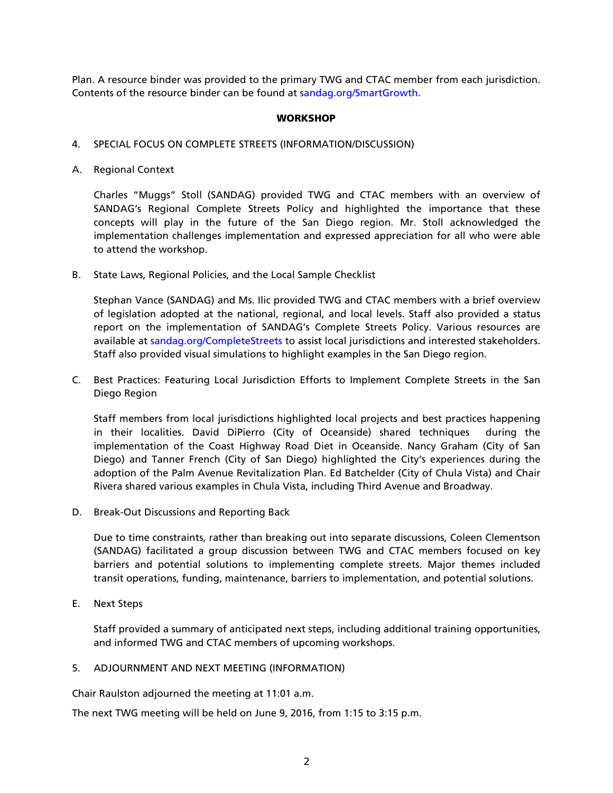Plan. A resource binder was provided to the primary TWG and CTAC member from each jurisdiction. Contents of the resource binder can be found at [sandag.org/SmartGrowth.](http://www.sandag.org/SmartGrowth)

#### **WORKSHOP**

#### 4. SPECIAL FOCUS ON COMPLETE STREETS (INFORMATION/DISCUSSION)

A. Regional Context

Charles "Muggs" Stoll (SANDAG) provided TWG and CTAC members with an overview of SANDAG's Regional Complete Streets Policy and highlighted the importance that these concepts will play in the future of the San Diego region. Mr. Stoll acknowledged the implementation challenges implementation and expressed appreciation for all who were able to attend the workshop.

B. State Laws, Regional Policies, and the Local Sample Checklist

Stephan Vance (SANDAG) and Ms. Ilic provided TWG and CTAC members with a brief overview of legislation adopted at the national, regional, and local levels. Staff also provided a status report on the implementation of SANDAG's Complete Streets Policy. Various resources are available at [sandag.org/CompleteStreets](http://www.sandag.org/CompleteStreets) to assist local jurisdictions and interested stakeholders. Staff also provided visual simulations to highlight examples in the San Diego region.

C. Best Practices: Featuring Local Jurisdiction Efforts to Implement Complete Streets in the San Diego Region

Staff members from local jurisdictions highlighted local projects and best practices happening in their localities. David DiPierro (City of Oceanside) shared techniques during the implementation of the Coast Highway Road Diet in Oceanside. Nancy Graham (City of San Diego) and Tanner French (City of San Diego) highlighted the City's experiences during the adoption of the Palm Avenue Revitalization Plan. Ed Batchelder (City of Chula Vista) and Chair Rivera shared various examples in Chula Vista, including Third Avenue and Broadway.

D. Break-Out Discussions and Reporting Back

Due to time constraints, rather than breaking out into separate discussions, Coleen Clementson (SANDAG) facilitated a group discussion between TWG and CTAC members focused on key barriers and potential solutions to implementing complete streets. Major themes included transit operations, funding, maintenance, barriers to implementation, and potential solutions.

E. Next Steps

Staff provided a summary of anticipated next steps, including additional training opportunities, and informed TWG and CTAC members of upcoming workshops.

## 5. ADJOURNMENT AND NEXT MEETING (INFORMATION)

Chair Raulston adjourned the meeting at 11:01 a.m.

The next TWG meeting will be held on June 9, 2016, from 1:15 to 3:15 p.m.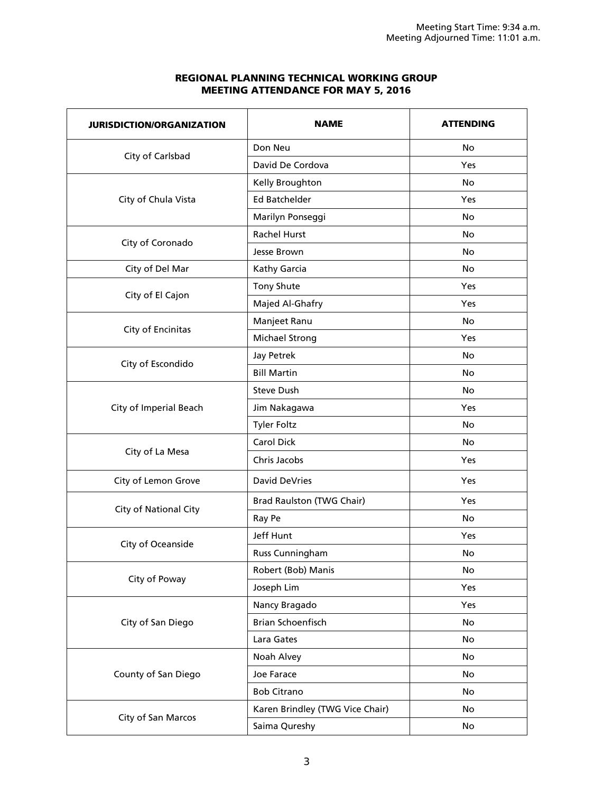# REGIONAL PLANNING TECHNICAL WORKING GROUP MEETING ATTENDANCE FOR MAY 5, 2016

| <b>JURISDICTION/ORGANIZATION</b> | <b>NAME</b>                     | <b>ATTENDING</b> |
|----------------------------------|---------------------------------|------------------|
| City of Carlsbad                 | Don Neu                         | No               |
|                                  | David De Cordova                | Yes              |
|                                  | Kelly Broughton                 | <b>No</b>        |
| City of Chula Vista              | <b>Ed Batchelder</b>            | Yes              |
|                                  | Marilyn Ponseggi                | <b>No</b>        |
|                                  | <b>Rachel Hurst</b>             | <b>No</b>        |
| City of Coronado                 | Jesse Brown                     | No.              |
| City of Del Mar                  | Kathy Garcia                    | <b>No</b>        |
| City of El Cajon                 | Tony Shute                      | Yes              |
|                                  | Majed Al-Ghafry                 | Yes              |
|                                  | Manjeet Ranu                    | <b>No</b>        |
| City of Encinitas                | Michael Strong                  | <b>Yes</b>       |
|                                  | <b>Jay Petrek</b>               | <b>No</b>        |
| City of Escondido                | <b>Bill Martin</b>              | <b>No</b>        |
|                                  | <b>Steve Dush</b>               | No               |
| City of Imperial Beach           | Jim Nakagawa                    | Yes              |
|                                  | <b>Tyler Foltz</b>              | <b>No</b>        |
|                                  | <b>Carol Dick</b>               | <b>No</b>        |
| City of La Mesa                  | Chris Jacobs                    | Yes              |
| City of Lemon Grove              | <b>David DeVries</b>            | Yes              |
| City of National City            | Brad Raulston (TWG Chair)       | Yes              |
|                                  | Ray Pe                          | <b>No</b>        |
|                                  | Jeff Hunt                       | Yes              |
| City of Oceanside                | Russ Cunningham                 | <b>No</b>        |
| City of Poway                    | Robert (Bob) Manis              | No               |
|                                  | Joseph Lim                      | Yes              |
| City of San Diego                | Nancy Bragado                   | Yes              |
|                                  | Brian Schoenfisch               | No               |
|                                  | Lara Gates                      | No               |
|                                  | Noah Alvey                      | No               |
| County of San Diego              | Joe Farace                      | No               |
|                                  | <b>Bob Citrano</b>              | No               |
|                                  | Karen Brindley (TWG Vice Chair) | No               |
| City of San Marcos               | Saima Qureshy                   | No               |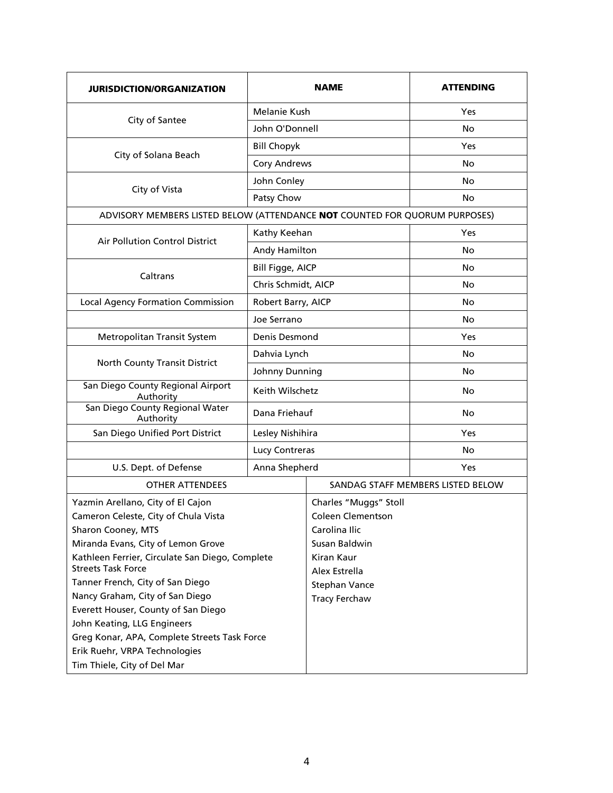| <b>JURISDICTION/ORGANIZATION</b>                                                                                                                                                                                                                                                                                                                                                                                                                    |                     | <b>NAME</b>                                                                                                                                                 | <b>ATTENDING</b>                  |  |
|-----------------------------------------------------------------------------------------------------------------------------------------------------------------------------------------------------------------------------------------------------------------------------------------------------------------------------------------------------------------------------------------------------------------------------------------------------|---------------------|-------------------------------------------------------------------------------------------------------------------------------------------------------------|-----------------------------------|--|
| City of Santee                                                                                                                                                                                                                                                                                                                                                                                                                                      | Melanie Kush        |                                                                                                                                                             | Yes                               |  |
|                                                                                                                                                                                                                                                                                                                                                                                                                                                     | John O'Donnell      |                                                                                                                                                             | No                                |  |
| City of Solana Beach                                                                                                                                                                                                                                                                                                                                                                                                                                | <b>Bill Chopyk</b>  |                                                                                                                                                             | Yes                               |  |
|                                                                                                                                                                                                                                                                                                                                                                                                                                                     | <b>Cory Andrews</b> |                                                                                                                                                             | No                                |  |
| City of Vista                                                                                                                                                                                                                                                                                                                                                                                                                                       | John Conley         |                                                                                                                                                             | No                                |  |
|                                                                                                                                                                                                                                                                                                                                                                                                                                                     | Patsy Chow          |                                                                                                                                                             | No                                |  |
| ADVISORY MEMBERS LISTED BELOW (ATTENDANCE NOT COUNTED FOR QUORUM PURPOSES)                                                                                                                                                                                                                                                                                                                                                                          |                     |                                                                                                                                                             |                                   |  |
|                                                                                                                                                                                                                                                                                                                                                                                                                                                     | Kathy Keehan        |                                                                                                                                                             | Yes                               |  |
| <b>Air Pollution Control District</b>                                                                                                                                                                                                                                                                                                                                                                                                               | Andy Hamilton       |                                                                                                                                                             | No                                |  |
|                                                                                                                                                                                                                                                                                                                                                                                                                                                     | Bill Figge, AICP    |                                                                                                                                                             | No                                |  |
| Caltrans                                                                                                                                                                                                                                                                                                                                                                                                                                            | Chris Schmidt, AICP |                                                                                                                                                             | No                                |  |
| <b>Local Agency Formation Commission</b>                                                                                                                                                                                                                                                                                                                                                                                                            | Robert Barry, AICP  |                                                                                                                                                             | No                                |  |
|                                                                                                                                                                                                                                                                                                                                                                                                                                                     | Joe Serrano         |                                                                                                                                                             | No                                |  |
| Metropolitan Transit System                                                                                                                                                                                                                                                                                                                                                                                                                         | Denis Desmond       |                                                                                                                                                             | Yes                               |  |
|                                                                                                                                                                                                                                                                                                                                                                                                                                                     | Dahvia Lynch        |                                                                                                                                                             | No                                |  |
| North County Transit District                                                                                                                                                                                                                                                                                                                                                                                                                       | Johnny Dunning      |                                                                                                                                                             | No                                |  |
| San Diego County Regional Airport<br>Authority                                                                                                                                                                                                                                                                                                                                                                                                      | Keith Wilschetz     |                                                                                                                                                             | No                                |  |
| San Diego County Regional Water<br>Authority                                                                                                                                                                                                                                                                                                                                                                                                        | Dana Friehauf       |                                                                                                                                                             | No                                |  |
| San Diego Unified Port District                                                                                                                                                                                                                                                                                                                                                                                                                     | Lesley Nishihira    |                                                                                                                                                             | <b>Yes</b>                        |  |
|                                                                                                                                                                                                                                                                                                                                                                                                                                                     | Lucy Contreras      |                                                                                                                                                             | No                                |  |
| U.S. Dept. of Defense                                                                                                                                                                                                                                                                                                                                                                                                                               | Anna Shepherd       |                                                                                                                                                             | Yes                               |  |
| <b>OTHER ATTENDEES</b>                                                                                                                                                                                                                                                                                                                                                                                                                              |                     |                                                                                                                                                             | SANDAG STAFF MEMBERS LISTED BELOW |  |
| Yazmin Arellano, City of El Cajon<br>Cameron Celeste, City of Chula Vista<br>Sharon Cooney, MTS<br>Miranda Evans, City of Lemon Grove<br>Kathleen Ferrier, Circulate San Diego, Complete<br><b>Streets Task Force</b><br>Tanner French, City of San Diego<br>Nancy Graham, City of San Diego<br>Everett Houser, County of San Diego<br>John Keating, LLG Engineers<br>Greg Konar, APA, Complete Streets Task Force<br>Erik Ruehr, VRPA Technologies |                     | Charles "Muggs" Stoll<br><b>Coleen Clementson</b><br>Carolina Ilic<br>Susan Baldwin<br>Kiran Kaur<br>Alex Estrella<br>Stephan Vance<br><b>Tracy Ferchaw</b> |                                   |  |
| Tim Thiele, City of Del Mar                                                                                                                                                                                                                                                                                                                                                                                                                         |                     |                                                                                                                                                             |                                   |  |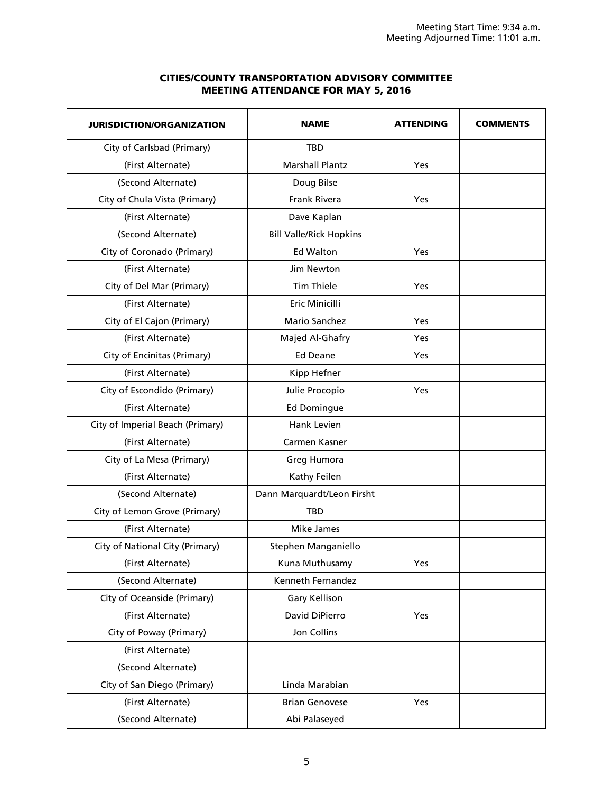# CITIES/COUNTY TRANSPORTATION ADVISORY COMMITTEE MEETING ATTENDANCE FOR MAY 5, 2016

| <b>JURISDICTION/ORGANIZATION</b> | <b>NAME</b>                    | <b>ATTENDING</b> | <b>COMMENTS</b> |
|----------------------------------|--------------------------------|------------------|-----------------|
| City of Carlsbad (Primary)       | TBD                            |                  |                 |
| (First Alternate)                | <b>Marshall Plantz</b>         | Yes              |                 |
| (Second Alternate)               | Doug Bilse                     |                  |                 |
| City of Chula Vista (Primary)    | <b>Frank Rivera</b>            | Yes              |                 |
| (First Alternate)                | Dave Kaplan                    |                  |                 |
| (Second Alternate)               | <b>Bill Valle/Rick Hopkins</b> |                  |                 |
| City of Coronado (Primary)       | <b>Ed Walton</b>               | Yes              |                 |
| (First Alternate)                | Jim Newton                     |                  |                 |
| City of Del Mar (Primary)        | <b>Tim Thiele</b>              | Yes              |                 |
| (First Alternate)                | Eric Minicilli                 |                  |                 |
| City of El Cajon (Primary)       | Mario Sanchez                  | Yes              |                 |
| (First Alternate)                | Majed Al-Ghafry                | Yes              |                 |
| City of Encinitas (Primary)      | <b>Ed Deane</b>                | Yes              |                 |
| (First Alternate)                | Kipp Hefner                    |                  |                 |
| City of Escondido (Primary)      | Julie Procopio                 | Yes              |                 |
| (First Alternate)                | <b>Ed Domingue</b>             |                  |                 |
| City of Imperial Beach (Primary) | Hank Levien                    |                  |                 |
| (First Alternate)                | Carmen Kasner                  |                  |                 |
| City of La Mesa (Primary)        | Greg Humora                    |                  |                 |
| (First Alternate)                | Kathy Feilen                   |                  |                 |
| (Second Alternate)               | Dann Marquardt/Leon Firsht     |                  |                 |
| City of Lemon Grove (Primary)    | <b>TBD</b>                     |                  |                 |
| (First Alternate)                | Mike James                     |                  |                 |
| City of National City (Primary)  | Stephen Manganiello            |                  |                 |
| (First Alternate)                | Kuna Muthusamy                 | Yes              |                 |
| (Second Alternate)               | Kenneth Fernandez              |                  |                 |
| City of Oceanside (Primary)      | <b>Gary Kellison</b>           |                  |                 |
| (First Alternate)                | David DiPierro                 | Yes              |                 |
| City of Poway (Primary)          | Jon Collins                    |                  |                 |
| (First Alternate)                |                                |                  |                 |
| (Second Alternate)               |                                |                  |                 |
| City of San Diego (Primary)      | Linda Marabian                 |                  |                 |
| (First Alternate)                | <b>Brian Genovese</b>          | Yes              |                 |
| (Second Alternate)               | Abi Palaseyed                  |                  |                 |